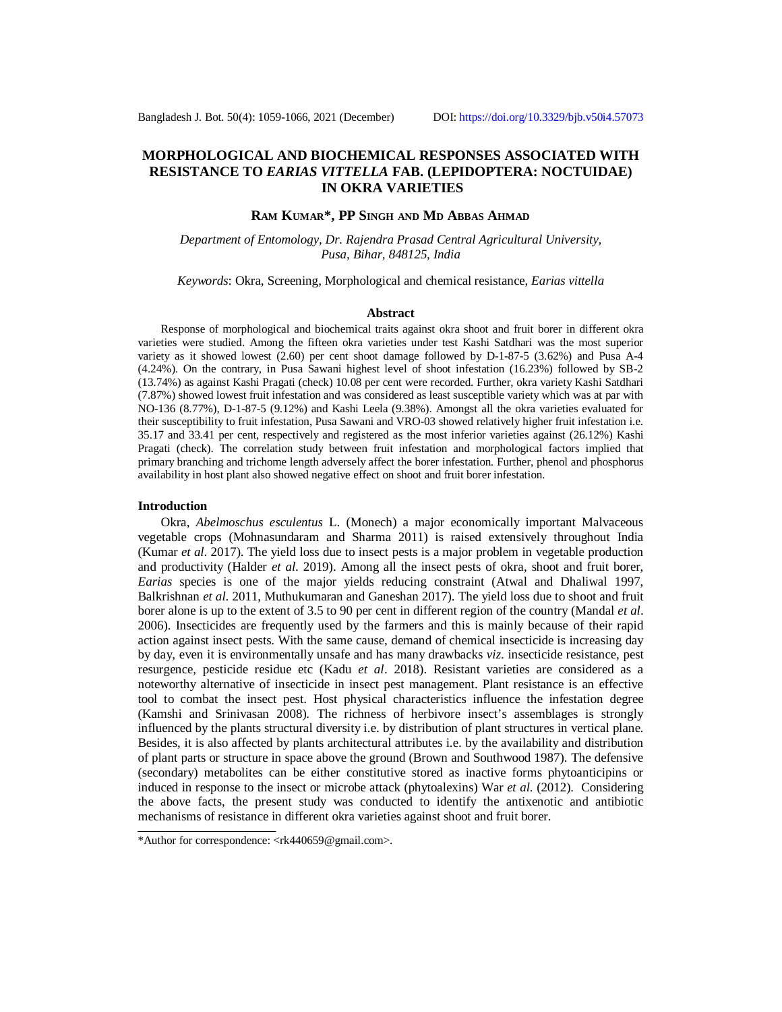# **MORPHOLOGICAL AND BIOCHEMICAL RESPONSES ASSOCIATED WITH RESISTANCE TO** *EARIAS VITTELLA* **FAB. (LEPIDOPTERA: NOCTUIDAE) IN OKRA VARIETIES**

# **RAM KUMAR\*, PP SINGH AND MD ABBAS AHMAD**

*Department of Entomology, Dr. Rajendra Prasad Central Agricultural University, Pusa, Bihar, 848125, India*

*Keywords*: Okra, Screening, Morphological and chemical resistance, *Earias vittella*

### **Abstract**

Response of morphological and biochemical traits against okra shoot and fruit borer in different okra varieties were studied. Among the fifteen okra varieties under test Kashi Satdhari was the most superior variety as it showed lowest (2.60) per cent shoot damage followed by D-1-87-5 (3.62%) and Pusa A-4 (4.24%). On the contrary, in Pusa Sawani highest level of shoot infestation (16.23%) followed by SB-2 (13.74%) as against Kashi Pragati (check) 10.08 per cent were recorded. Further, okra variety Kashi Satdhari (7.87%) showed lowest fruit infestation and was considered as least susceptible variety which was at par with NO-136 (8.77%), D-1-87-5 (9.12%) and Kashi Leela (9.38%). Amongst all the okra varieties evaluated for their susceptibility to fruit infestation, Pusa Sawani and VRO-03 showed relatively higher fruit infestation i.e. 35.17 and 33.41 per cent, respectively and registered as the most inferior varieties against (26.12%) Kashi Pragati (check). The correlation study between fruit infestation and morphological factors implied that primary branching and trichome length adversely affect the borer infestation. Further, phenol and phosphorus availability in host plant also showed negative effect on shoot and fruit borer infestation.

## **Introduction**

Okra, *Abelmoschus esculentus* L. (Monech) a major economically important Malvaceous vegetable crops (Mohnasundaram and Sharma 2011) is raised extensively throughout India (Kumar *et al*. 2017). The yield loss due to insect pests is a major problem in vegetable production and productivity (Halder *et al*. 2019). Among all the insect pests of okra, shoot and fruit borer, *Earias* species is one of the major yields reducing constraint (Atwal and Dhaliwal 1997, Balkrishnan *et al*. 2011, Muthukumaran and Ganeshan 2017). The yield loss due to shoot and fruit borer alone is up to the extent of 3.5 to 90 per cent in different region of the country (Mandal *et al*. 2006). Insecticides are frequently used by the farmers and this is mainly because of their rapid action against insect pests. With the same cause, demand of chemical insecticide is increasing day by day, even it is environmentally unsafe and has many drawbacks *viz*. insecticide resistance, pest resurgence, pesticide residue etc (Kadu *et al*. 2018). Resistant varieties are considered as a noteworthy alternative of insecticide in insect pest management. Plant resistance is an effective tool to combat the insect pest. Host physical characteristics influence the infestation degree (Kamshi and Srinivasan 2008). The richness of herbivore insect's assemblages is strongly influenced by the plants structural diversity i.e. by distribution of plant structures in vertical plane. Besides, it is also affected by plants architectural attributes i.e. by the availability and distribution of plant parts or structure in space above the ground (Brown and Southwood 1987). The defensive (secondary) metabolites can be either constitutive stored as inactive forms phytoanticipins or induced in response to the insect or microbe attack (phytoalexins) War *et al*. (2012). Considering the above facts, the present study was conducted to identify the antixenotic and antibiotic mechanisms of resistance in different okra varieties against shoot and fruit borer.

<sup>\*</sup>Author for correspondence: [<rk440659@gmail.com](mailto:rk440659@gmail.com)>.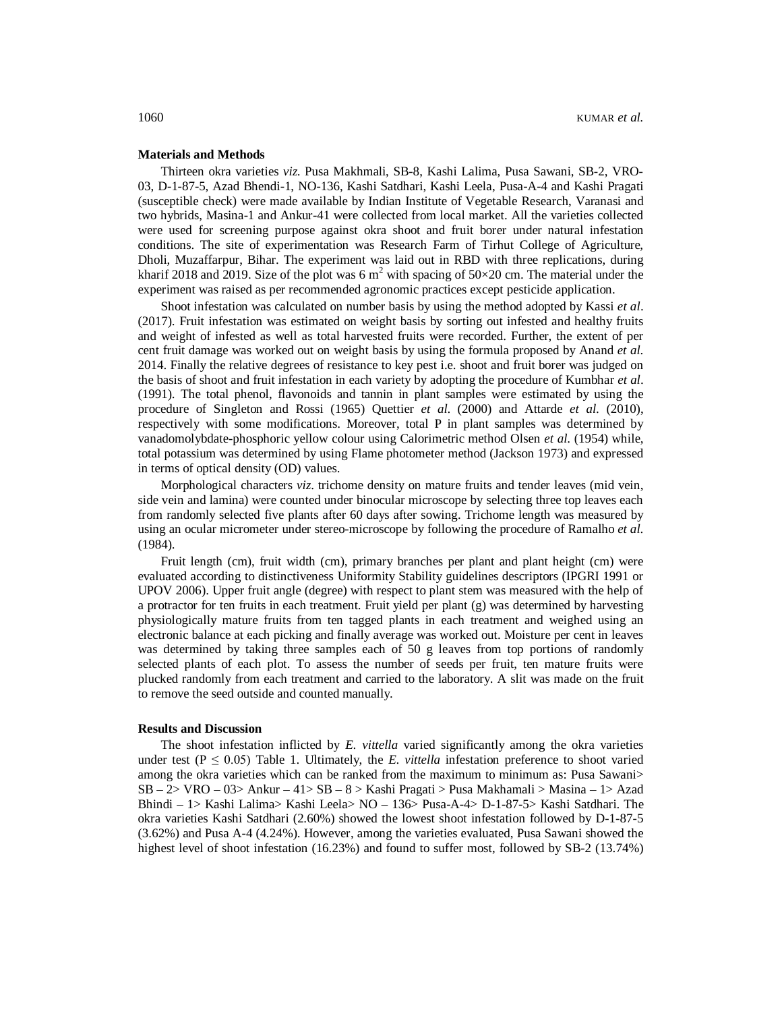### **Materials and Methods**

Thirteen okra varieties *viz*. Pusa Makhmali, SB-8, Kashi Lalima, Pusa Sawani, SB-2, VRO-03, D-1-87-5, Azad Bhendi-1, NO-136, Kashi Satdhari, Kashi Leela, Pusa-A-4 and Kashi Pragati (susceptible check) were made available by Indian Institute of Vegetable Research, Varanasi and two hybrids, Masina-1 and Ankur-41 were collected from local market. All the varieties collected were used for screening purpose against okra shoot and fruit borer under natural infestation conditions. The site of experimentation was Research Farm of Tirhut College of Agriculture, Dholi, Muzaffarpur, Bihar. The experiment was laid out in RBD with three replications, during kharif 2018 and 2019. Size of the plot was 6 m<sup>2</sup> with spacing of  $50 \times 20$  cm. The material under the experiment was raised as per recommended agronomic practices except pesticide application.

Shoot infestation was calculated on number basis by using the method adopted by Kassi *et al*. (2017). Fruit infestation was estimated on weight basis by sorting out infested and healthy fruits and weight of infested as well as total harvested fruits were recorded. Further, the extent of per cent fruit damage was worked out on weight basis by using the formula proposed by Anand *et al*. 2014. Finally the relative degrees of resistance to key pest i.e. shoot and fruit borer was judged on the basis of shoot and fruit infestation in each variety by adopting the procedure of Kumbhar *et al*. (1991). The total phenol, flavonoids and tannin in plant samples were estimated by using the procedure of Singleton and Rossi (1965) Quettier *et al*. (2000) and Attarde *et al*. (2010), respectively with some modifications. Moreover, total P in plant samples was determined by vanadomolybdate-phosphoric yellow colour using Calorimetric method Olsen *et al*. (1954) while, total potassium was determined by using Flame photometer method (Jackson 1973) and expressed in terms of optical density (OD) values.

Morphological characters *viz*. trichome density on mature fruits and tender leaves (mid vein, side vein and lamina) were counted under binocular microscope by selecting three top leaves each from randomly selected five plants after 60 days after sowing. Trichome length was measured by using an ocular micrometer under stereo-microscope by following the procedure of Ramalho *et al*. (1984).

Fruit length (cm), fruit width (cm), primary branches per plant and plant height (cm) were evaluated according to distinctiveness Uniformity Stability guidelines descriptors (IPGRI 1991 or UPOV 2006). Upper fruit angle (degree) with respect to plant stem was measured with the help of a protractor for ten fruits in each treatment. Fruit yield per plant (g) was determined by harvesting physiologically mature fruits from ten tagged plants in each treatment and weighed using an electronic balance at each picking and finally average was worked out. Moisture per cent in leaves was determined by taking three samples each of 50 g leaves from top portions of randomly selected plants of each plot. To assess the number of seeds per fruit, ten mature fruits were plucked randomly from each treatment and carried to the laboratory. A slit was made on the fruit to remove the seed outside and counted manually.

### **Results and Discussion**

The shoot infestation inflicted by *E. vittella* varied significantly among the okra varieties under test  $(P \le 0.05)$  Table 1. Ultimately, the *E. vittella* infestation preference to shoot varied among the okra varieties which can be ranked from the maximum to minimum as: Pusa Sawani> SB – 2> VRO – 03> Ankur – 41> SB – 8 > Kashi Pragati > Pusa Makhamali > Masina – 1> Azad Bhindi – 1> Kashi Lalima> Kashi Leela> NO – 136> Pusa-A-4> D-1-87-5> Kashi Satdhari. The okra varieties Kashi Satdhari (2.60%) showed the lowest shoot infestation followed by D-1-87-5 (3.62%) and Pusa A-4 (4.24%). However, among the varieties evaluated, Pusa Sawani showed the highest level of shoot infestation (16.23%) and found to suffer most, followed by SB-2 (13.74%)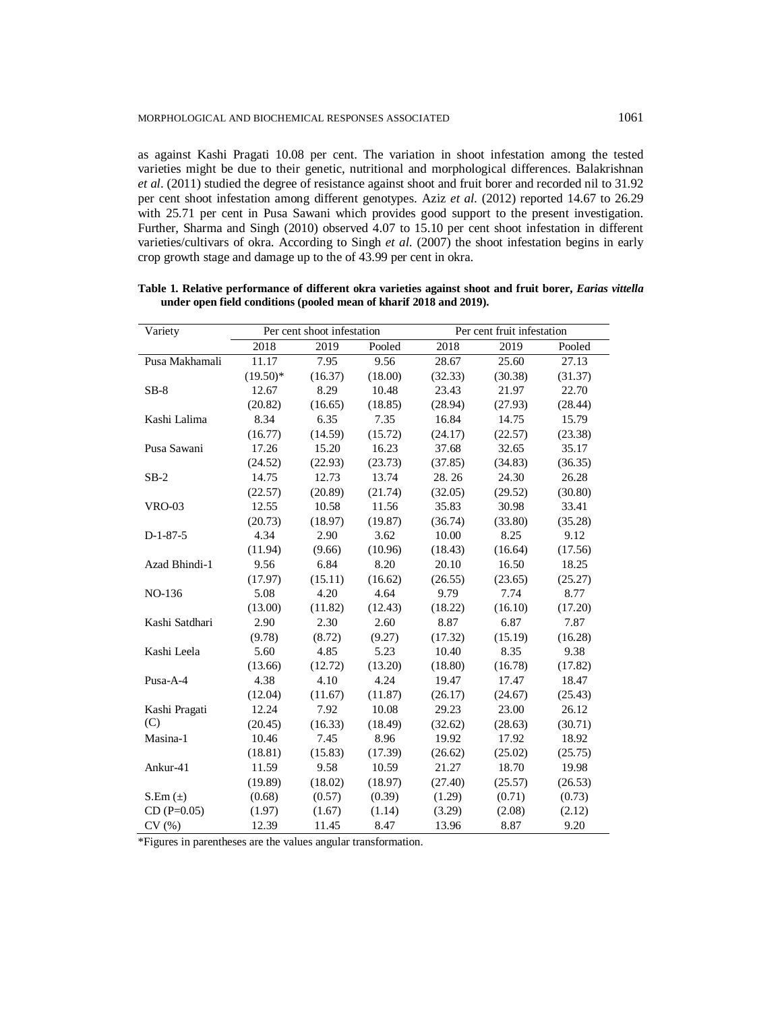as against Kashi Pragati 10.08 per cent. The variation in shoot infestation among the tested varieties might be due to their genetic, nutritional and morphological differences. Balakrishnan *et al*. (2011) studied the degree of resistance against shoot and fruit borer and recorded nil to 31.92 per cent shoot infestation among different genotypes. Aziz *et al*. (2012) reported 14.67 to 26.29 with 25.71 per cent in Pusa Sawani which provides good support to the present investigation. Further, Sharma and Singh (2010) observed 4.07 to 15.10 per cent shoot infestation in different varieties/cultivars of okra. According to Singh *et al*. (2007) the shoot infestation begins in early crop growth stage and damage up to the of 43.99 per cent in okra.

| Variety        |            | Per cent fruit infestation<br>Per cent shoot infestation |         |         |         |         |
|----------------|------------|----------------------------------------------------------|---------|---------|---------|---------|
|                | 2018       | 2019                                                     | Pooled  | 2018    | 2019    | Pooled  |
| Pusa Makhamali | 11.17      | 7.95                                                     | 9.56    | 28.67   | 25.60   | 27.13   |
|                | $(19.50)*$ | (16.37)                                                  | (18.00) | (32.33) | (30.38) | (31.37) |
| $SB-8$         | 12.67      | 8.29                                                     | 10.48   | 23.43   | 21.97   | 22.70   |
|                | (20.82)    | (16.65)                                                  | (18.85) | (28.94) | (27.93) | (28.44) |
| Kashi Lalima   | 8.34       | 6.35                                                     | 7.35    | 16.84   | 14.75   | 15.79   |
|                | (16.77)    | (14.59)                                                  | (15.72) | (24.17) | (22.57) | (23.38) |
| Pusa Sawani    | 17.26      | 15.20                                                    | 16.23   | 37.68   | 32.65   | 35.17   |
|                | (24.52)    | (22.93)                                                  | (23.73) | (37.85) | (34.83) | (36.35) |
| $SB-2$         | 14.75      | 12.73                                                    | 13.74   | 28.26   | 24.30   | 26.28   |
|                | (22.57)    | (20.89)                                                  | (21.74) | (32.05) | (29.52) | (30.80) |
| <b>VRO-03</b>  | 12.55      | 10.58                                                    | 11.56   | 35.83   | 30.98   | 33.41   |
|                | (20.73)    | (18.97)                                                  | (19.87) | (36.74) | (33.80) | (35.28) |
| $D-1-87-5$     | 4.34       | 2.90                                                     | 3.62    | 10.00   | 8.25    | 9.12    |
|                | (11.94)    | (9.66)                                                   | (10.96) | (18.43) | (16.64) | (17.56) |
| Azad Bhindi-1  | 9.56       | 6.84                                                     | 8.20    | 20.10   | 16.50   | 18.25   |
|                | (17.97)    | (15.11)                                                  | (16.62) | (26.55) | (23.65) | (25.27) |
| NO-136         | 5.08       | 4.20                                                     | 4.64    | 9.79    | 7.74    | 8.77    |
|                | (13.00)    | (11.82)                                                  | (12.43) | (18.22) | (16.10) | (17.20) |
| Kashi Satdhari | 2.90       | 2.30                                                     | 2.60    | 8.87    | 6.87    | 7.87    |
|                | (9.78)     | (8.72)                                                   | (9.27)  | (17.32) | (15.19) | (16.28) |
| Kashi Leela    | 5.60       | 4.85                                                     | 5.23    | 10.40   | 8.35    | 9.38    |
|                | (13.66)    | (12.72)                                                  | (13.20) | (18.80) | (16.78) | (17.82) |
| Pusa-A-4       | 4.38       | 4.10                                                     | 4.24    | 19.47   | 17.47   | 18.47   |
|                | (12.04)    | (11.67)                                                  | (11.87) | (26.17) | (24.67) | (25.43) |
| Kashi Pragati  | 12.24      | 7.92                                                     | 10.08   | 29.23   | 23.00   | 26.12   |
| (C)            | (20.45)    | (16.33)                                                  | (18.49) | (32.62) | (28.63) | (30.71) |
| Masina-1       | 10.46      | 7.45                                                     | 8.96    | 19.92   | 17.92   | 18.92   |
|                | (18.81)    | (15.83)                                                  | (17.39) | (26.62) | (25.02) | (25.75) |
| Ankur-41       | 11.59      | 9.58                                                     | 10.59   | 21.27   | 18.70   | 19.98   |
|                | (19.89)    | (18.02)                                                  | (18.97) | (27.40) | (25.57) | (26.53) |
| $S.Em(\pm)$    | (0.68)     | (0.57)                                                   | (0.39)  | (1.29)  | (0.71)  | (0.73)  |
| $CD(P=0.05)$   | (1.97)     | (1.67)                                                   | (1.14)  | (3.29)  | (2.08)  | (2.12)  |
| CV(%)          | 12.39      | 11.45                                                    | 8.47    | 13.96   | 8.87    | 9.20    |

**Table 1. Relative performance of different okra varieties against shoot and fruit borer,** *Earias vittella* **under open field conditions (pooled mean of kharif 2018 and 2019).**

\*Figures in parentheses are the values angular transformation.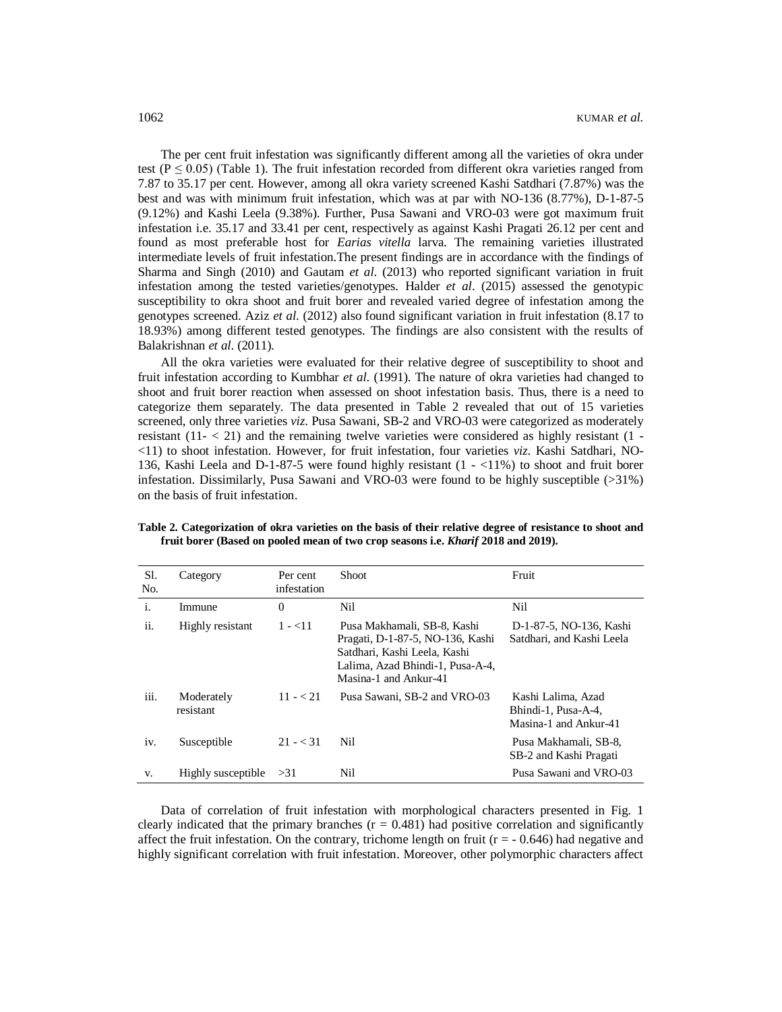The per cent fruit infestation was significantly different among all the varieties of okra under test ( $P \le 0.05$ ) (Table 1). The fruit infestation recorded from different okra varieties ranged from 7.87 to 35.17 per cent. However, among all okra variety screened Kashi Satdhari (7.87%) was the best and was with minimum fruit infestation, which was at par with NO-136 (8.77%), D-1-87-5 (9.12%) and Kashi Leela (9.38%). Further, Pusa Sawani and VRO-03 were got maximum fruit infestation i.e. 35.17 and 33.41 per cent, respectively as against Kashi Pragati 26.12 per cent and found as most preferable host for *Earias vitella* larva. The remaining varieties illustrated intermediate levels of fruit infestation.The present findings are in accordance with the findings of Sharma and Singh (2010) and Gautam *et al*. (2013) who reported significant variation in fruit infestation among the tested varieties/genotypes. Halder *et al*. (2015) assessed the genotypic susceptibility to okra shoot and fruit borer and revealed varied degree of infestation among the genotypes screened. Aziz *et al*. (2012) also found significant variation in fruit infestation (8.17 to 18.93%) among different tested genotypes. The findings are also consistent with the results of Balakrishnan *et al*. (2011).

All the okra varieties were evaluated for their relative degree of susceptibility to shoot and fruit infestation according to Kumbhar *et al*. (1991). The nature of okra varieties had changed to shoot and fruit borer reaction when assessed on shoot infestation basis. Thus, there is a need to categorize them separately. The data presented in Table 2 revealed that out of 15 varieties screened, only three varieties *viz*. Pusa Sawani, SB-2 and VRO-03 were categorized as moderately resistant  $(11 - 21)$  and the remaining twelve varieties were considered as highly resistant  $(1 - 11)$ <11) to shoot infestation. However, for fruit infestation, four varieties *viz*. Kashi Satdhari, NO-136, Kashi Leela and D-1-87-5 were found highly resistant (1 - <11%) to shoot and fruit borer infestation. Dissimilarly, Pusa Sawani and VRO-03 were found to be highly susceptible (>31%) on the basis of fruit infestation.

| Sl.<br>No. | Category                | Per cent<br>infestation | <b>Shoot</b>                                                                                                                                                 | Fruit                                                              |
|------------|-------------------------|-------------------------|--------------------------------------------------------------------------------------------------------------------------------------------------------------|--------------------------------------------------------------------|
| i.         | Immune                  | $\theta$                | Nil                                                                                                                                                          | Nil                                                                |
| ii.        | Highly resistant        | $1 - 11$                | Pusa Makhamali, SB-8, Kashi<br>Pragati, D-1-87-5, NO-136, Kashi<br>Satdhari, Kashi Leela, Kashi<br>Lalima, Azad Bhindi-1, Pusa-A-4,<br>Masina-1 and Ankur-41 | D-1-87-5, NO-136, Kashi<br>Satdhari, and Kashi Leela               |
| iii.       | Moderately<br>resistant | $11 - 21$               | Pusa Sawani, SB-2 and VRO-03                                                                                                                                 | Kashi Lalima, Azad<br>Bhindi-1, Pusa-A-4.<br>Masina-1 and Ankur-41 |
| iv.        | Susceptible             | $21 - 31$               | Nil                                                                                                                                                          | Pusa Makhamali, SB-8.<br>SB-2 and Kashi Pragati                    |
| V.         | Highly susceptible      | >31                     | Nil                                                                                                                                                          | Pusa Sawani and VRO-03                                             |

**Table 2. Categorization of okra varieties on the basis of their relative degree of resistance to shoot and fruit borer (Based on pooled mean of two crop seasons i.e.** *Kharif* **2018 and 2019).**

Data of correlation of fruit infestation with morphological characters presented in Fig. 1 clearly indicated that the primary branches  $(r = 0.481)$  had positive correlation and significantly affect the fruit infestation. On the contrary, trichome length on fruit  $(r = -0.646)$  had negative and highly significant correlation with fruit infestation. Moreover, other polymorphic characters affect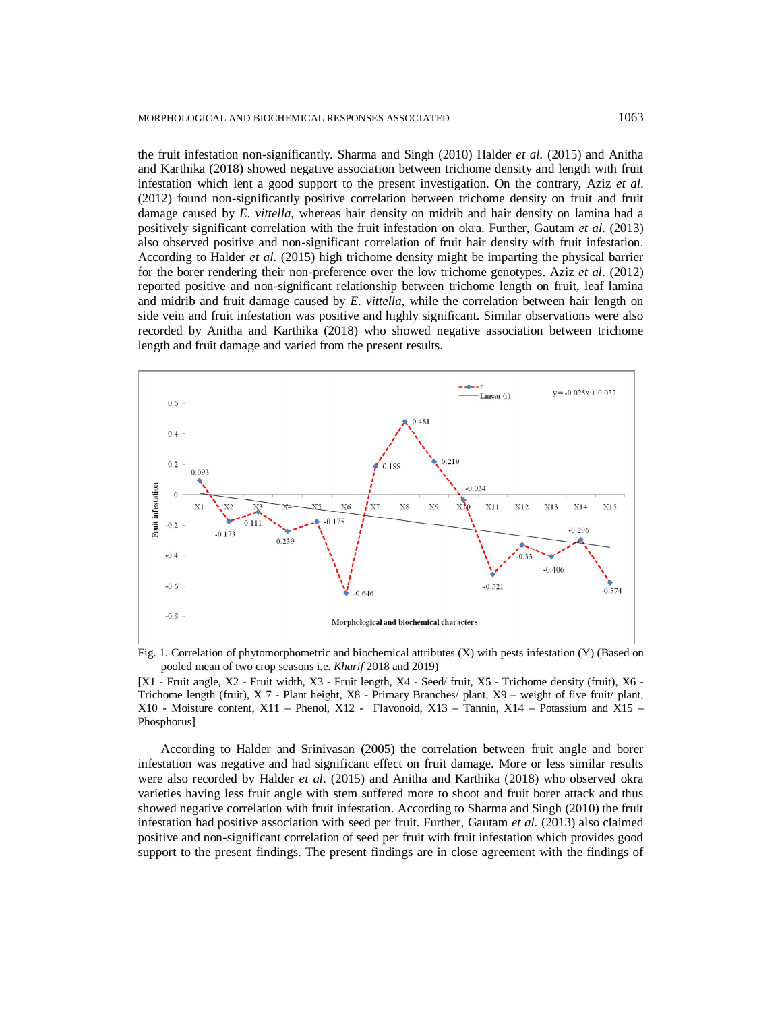the fruit infestation non-significantly. Sharma and Singh (2010) Halder *et al*. (2015) and Anitha and Karthika (2018) showed negative association between trichome density and length with fruit infestation which lent a good support to the present investigation. On the contrary, Aziz *et al*. (2012) found non-significantly positive correlation between trichome density on fruit and fruit damage caused by *E. vittella*, whereas hair density on midrib and hair density on lamina had a positively significant correlation with the fruit infestation on okra. Further, Gautam *et al*. (2013) also observed positive and non-significant correlation of fruit hair density with fruit infestation. According to Halder *et al*. (2015) high trichome density might be imparting the physical barrier for the borer rendering their non-preference over the low trichome genotypes. Aziz *et al*. (2012) reported positive and non-significant relationship between trichome length on fruit, leaf lamina and midrib and fruit damage caused by *E. vittella*, while the correlation between hair length on side vein and fruit infestation was positive and highly significant. Similar observations were also recorded by Anitha and Karthika (2018) who showed negative association between trichome length and fruit damage and varied from the present results.



Fig. 1. Correlation of phytomorphometric and biochemical attributes (X) with pests infestation (Y) (Based on pooled mean of two crop seasons i.e. *Kharif* 2018 and 2019)

[X1 - Fruit angle, X2 - Fruit width, X3 - Fruit length, X4 - Seed/ fruit, X5 - Trichome density (fruit), X6 - Trichome length (fruit), X 7 - Plant height, X8 - Primary Branches/ plant, X9 – weight of five fruit/ plant, X10 - Moisture content, X11 – Phenol, X12 - Flavonoid, X13 – Tannin, X14 – Potassium and X15 – Phosphorus]

According to Halder and Srinivasan (2005) the correlation between fruit angle and borer infestation was negative and had significant effect on fruit damage. More or less similar results were also recorded by Halder *et al*. (2015) and Anitha and Karthika (2018) who observed okra varieties having less fruit angle with stem suffered more to shoot and fruit borer attack and thus showed negative correlation with fruit infestation. According to Sharma and Singh (2010) the fruit infestation had positive association with seed per fruit. Further, Gautam *et al*. (2013) also claimed positive and non-significant correlation of seed per fruit with fruit infestation which provides good support to the present findings. The present findings are in close agreement with the findings of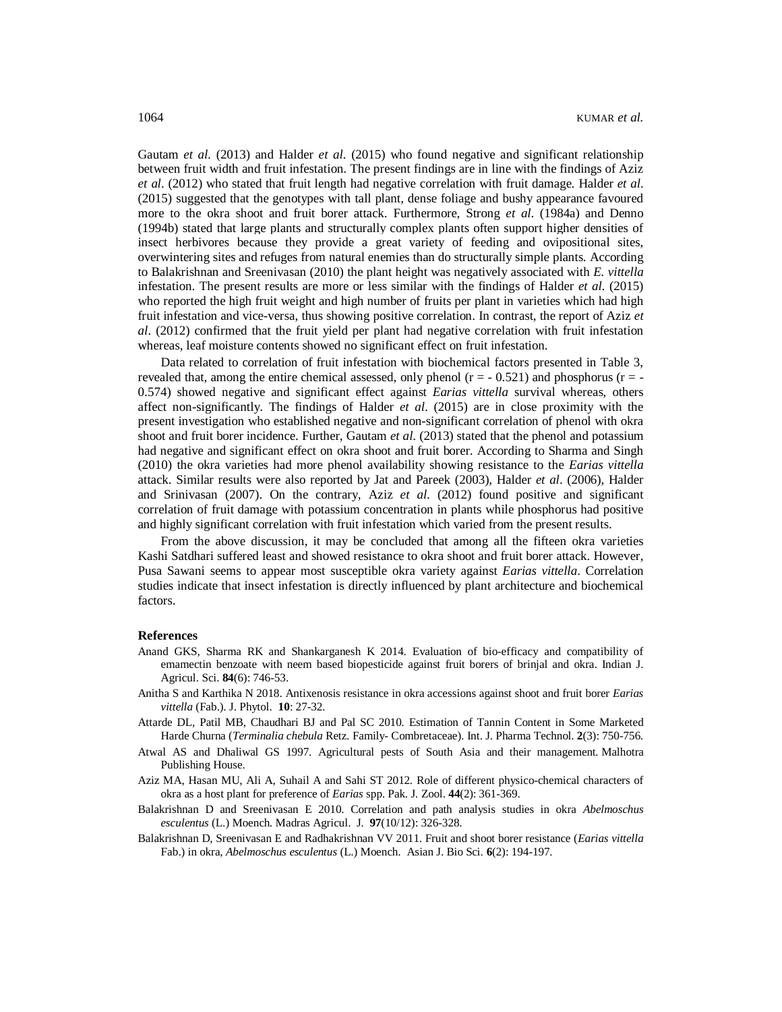Gautam *et al*. (2013) and Halder *et al*. (2015) who found negative and significant relationship between fruit width and fruit infestation. The present findings are in line with the findings of Aziz *et al*. (2012) who stated that fruit length had negative correlation with fruit damage. Halder *et al*. (2015) suggested that the genotypes with tall plant, dense foliage and bushy appearance favoured more to the okra shoot and fruit borer attack. Furthermore, Strong *et al*. (1984a) and Denno (1994b) stated that large plants and structurally complex plants often support higher densities of insect herbivores because they provide a great variety of feeding and ovipositional sites, overwintering sites and refuges from natural enemies than do structurally simple plants. According to Balakrishnan and Sreenivasan (2010) the plant height was negatively associated with *E. vittella* infestation. The present results are more or less similar with the findings of Halder *et al*. (2015) who reported the high fruit weight and high number of fruits per plant in varieties which had high fruit infestation and vice-versa, thus showing positive correlation. In contrast, the report of Aziz *et al*. (2012) confirmed that the fruit yield per plant had negative correlation with fruit infestation whereas, leaf moisture contents showed no significant effect on fruit infestation.

Data related to correlation of fruit infestation with biochemical factors presented in Table 3, revealed that, among the entire chemical assessed, only phenol  $(r = -0.521)$  and phosphorus  $(r = -1.521)$ 0.574) showed negative and significant effect against *Earias vittella* survival whereas, others affect non-significantly. The findings of Halder *et al*. (2015) are in close proximity with the present investigation who established negative and non-significant correlation of phenol with okra shoot and fruit borer incidence. Further, Gautam *et al*. (2013) stated that the phenol and potassium had negative and significant effect on okra shoot and fruit borer. According to Sharma and Singh (2010) the okra varieties had more phenol availability showing resistance to the *Earias vittella* attack. Similar results were also reported by Jat and Pareek (2003), Halder *et al*. (2006), Halder and Srinivasan (2007). On the contrary, Aziz *et al*. (2012) found positive and significant correlation of fruit damage with potassium concentration in plants while phosphorus had positive and highly significant correlation with fruit infestation which varied from the present results.

From the above discussion, it may be concluded that among all the fifteen okra varieties Kashi Satdhari suffered least and showed resistance to okra shoot and fruit borer attack. However, Pusa Sawani seems to appear most susceptible okra variety against *Earias vittella*. Correlation studies indicate that insect infestation is directly influenced by plant architecture and biochemical factors.

#### **References**

- Anand GKS, Sharma RK and Shankarganesh K 2014. Evaluation of bio-efficacy and compatibility of emamectin benzoate with neem based biopesticide against fruit borers of brinjal and okra. Indian J. Agricul. Sci. **84**(6): 746-53.
- Anitha S and Karthika N 2018. Antixenosis resistance in okra accessions against shoot and fruit borer *Earias vittella* (Fab.). J. Phytol. **10**: 27-32.
- Attarde DL, Patil MB, Chaudhari BJ and Pal SC 2010. Estimation of Tannin Content in Some Marketed Harde Churna (*Terminalia chebula* Retz. Family- Combretaceae). Int. J. Pharma Technol. **2**(3): 750-756.
- Atwal AS and Dhaliwal GS 1997. Agricultural pests of South Asia and their management. Malhotra Publishing House.
- Aziz MA, Hasan MU, Ali A, Suhail A and Sahi ST 2012*.* Role of different physico-chemical characters of okra as a host plant for preference of *Earias* spp. Pak. J. Zool. **44**(2): 361-369.
- Balakrishnan D and Sreenivasan E 2010. Correlation and path analysis studies in okra *Abelmoschus esculentus* (L.) Moench. Madras Agricul. J. **97**(10/12): 326-328.
- Balakrishnan D, Sreenivasan E and Radhakrishnan VV 2011. Fruit and shoot borer resistance (*Earias vittella*  Fab.) in okra, *Abelmoschus esculentus* (L.) Moench. Asian J. Bio Sci. **6**(2): 194-197.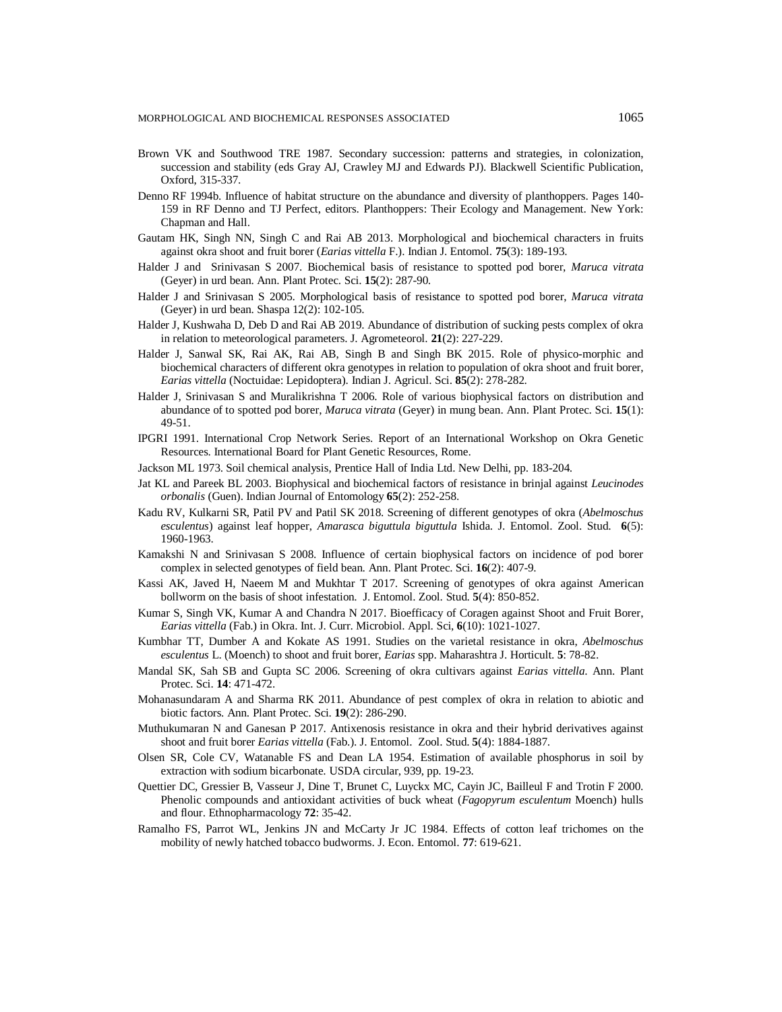### MORPHOLOGICAL AND BIOCHEMICAL RESPONSES ASSOCIATED 1065

- Brown VK and Southwood TRE 1987. Secondary succession: patterns and strategies, in colonization, succession and stability (eds Gray AJ, Crawley MJ and Edwards PJ). Blackwell Scientific Publication, Oxford, 315-337.
- Denno RF 1994b. Influence of habitat structure on the abundance and diversity of planthoppers. Pages 140- 159 in RF Denno and TJ Perfect, editors. Planthoppers: Their Ecology and Management. New York: Chapman and Hall.
- Gautam HK, Singh NN, Singh C and Rai AB 2013. Morphological and biochemical characters in fruits against okra shoot and fruit borer (*Earias vittella* F.). Indian J. Entomol. **75**(3): 189-193.
- Halder J and Srinivasan S 2007. Biochemical basis of resistance to spotted pod borer, *Maruca vitrata* (Geyer) in urd bean. Ann. Plant Protec. Sci. **15**(2): 287-90.
- Halder J and Srinivasan S 2005. Morphological basis of resistance to spotted pod borer, *Maruca vitrata*  (Geyer) in urd bean. Shaspa 12(2): 102-105.
- Halder J, Kushwaha D, Deb D and Rai AB 2019. Abundance of distribution of sucking pests complex of okra in relation to meteorological parameters. J. Agrometeorol. **21**(2): 227-229.
- Halder J, Sanwal SK, Rai AK, Rai AB, Singh B and Singh BK 2015. Role of physico-morphic and biochemical characters of different okra genotypes in relation to population of okra shoot and fruit borer, *Earias vittella* (Noctuidae: Lepidoptera). Indian J. Agricul. Sci. **85**(2): 278-282.
- Halder J, Srinivasan S and Muralikrishna T 2006. Role of various biophysical factors on distribution and abundance of to spotted pod borer, *Maruca vitrata* (Geyer) in mung bean. Ann. Plant Protec. Sci. **15**(1): 49-51.
- IPGRI 1991. International Crop Network Series. Report of an International Workshop on Okra Genetic Resources. International Board for Plant Genetic Resources, Rome.
- Jackson ML 1973. Soil chemical analysis, Prentice Hall of India Ltd. New Delhi, pp. 183-204.
- Jat KL and Pareek BL 2003. Biophysical and biochemical factors of resistance in brinjal against *Leucinodes orbonalis* (Guen). Indian Journal of Entomology **65**(2): 252-258.
- Kadu RV, Kulkarni SR, Patil PV and Patil SK 2018. Screening of different genotypes of okra (*Abelmoschus esculentus*) against leaf hopper, *Amarasca biguttula biguttula* Ishida. J. Entomol. Zool. Stud. **6**(5): 1960-1963.
- Kamakshi N and Srinivasan S 2008. Influence of certain biophysical factors on incidence of pod borer complex in selected genotypes of field bean. Ann. Plant Protec. Sci. **16**(2): 407-9.
- Kassi AK, Javed H, Naeem M and Mukhtar T 2017. Screening of genotypes of okra against American bollworm on the basis of shoot infestation. J. Entomol. Zool. Stud. **5**(4): 850-852.
- Kumar S, Singh VK, Kumar A and Chandra N 2017. Bioefficacy of Coragen against Shoot and Fruit Borer, *Earias vittella* (Fab.) in Okra. Int. J. Curr. Microbiol. Appl. Sci, **6**(10): 1021-1027.
- Kumbhar TT, Dumber A and Kokate AS 1991. Studies on the varietal resistance in okra, *Abelmoschus esculentus* L. (Moench) to shoot and fruit borer, *Earias* spp. Maharashtra J. Horticult. **5**: 78-82.
- Mandal SK, Sah SB and Gupta SC 2006. Screening of okra cultivars against *Earias vittella*. Ann. Plant Protec. Sci. **14**: 471-472.
- Mohanasundaram A and Sharma RK 2011. Abundance of pest complex of okra in relation to abiotic and biotic factors. Ann. Plant Protec. Sci. **19**(2): 286-290.
- Muthukumaran N and Ganesan P 2017. Antixenosis resistance in okra and their hybrid derivatives against shoot and fruit borer *Earias vittella* (Fab.). J. Entomol. Zool. Stud. **5**(4): 1884-1887.
- Olsen SR, Cole CV, Watanable FS and Dean LA 1954. Estimation of available phosphorus in soil by extraction with sodium bicarbonate. USDA circular, 939, pp. 19-23.
- Quettier DC, Gressier B, Vasseur J, Dine T, Brunet C, Luyckx MC, Cayin JC, Bailleul F and Trotin F 2000. Phenolic compounds and antioxidant activities of buck wheat (*Fagopyrum esculentum* Moench) hulls and flour. Ethnopharmacology **72**: 35-42.
- Ramalho FS, Parrot WL, Jenkins JN and McCarty Jr JC 1984. Effects of cotton leaf trichomes on the mobility of newly hatched tobacco budworms. J. Econ. Entomol. **77**: 619-621.